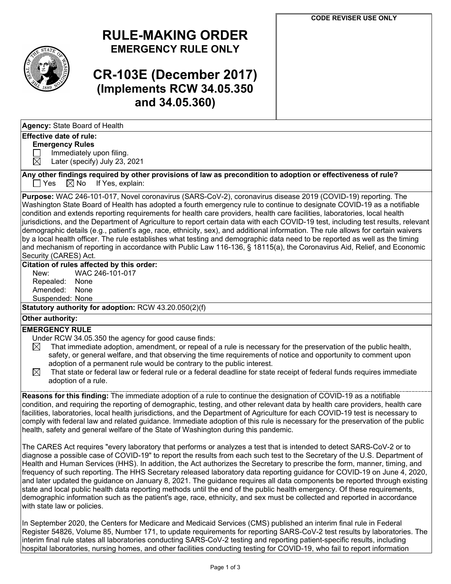

# **RULE-MAKING ORDER EMERGENCY RULE ONLY**

# **CR-103E (December 2017) (Implements RCW 34.05.350 and 34.05.360)**

### **Effective date of rule:**

#### **Emergency Rules**

 $\Box$  Immediately upon filing.<br> $\boxtimes$  Later (specify) July 23.

Later (specify) July 23, 2021

Any other findings required by other provisions of law as precondition to adoption or effectiveness of rule?<br>  $\Box$  Yes  $\Box$  No If Yes, explain:  $\boxtimes$  No If Yes, explain:

**Purpose:** WAC 246-101-017, Novel coronavirus (SARS-CoV-2), coronavirus disease 2019 (COVID-19) reporting. The Washington State Board of Health has adopted a fourth emergency rule to continue to designate COVID-19 as a notifiable condition and extends reporting requirements for health care providers, health care facilities, laboratories, local health jurisdictions, and the Department of Agriculture to report certain data with each COVID-19 test, including test results, relevant demographic details (e.g., patient's age, race, ethnicity, sex), and additional information. The rule allows for certain waivers by a local health officer. The rule establishes what testing and demographic data need to be reported as well as the timing and mechanism of reporting in accordance with Public Law 116-136, § 18115(a), the Coronavirus Aid, Relief, and Economic Security (CARES) Act.

## **Citation of rules affected by this order:**

New: WAC 246-101-017 Repealed: None Amended: None Suspended: None

**Statutory authority for adoption:** RCW 43.20.050(2)(f)

## **Other authority:**

### **EMERGENCY RULE**

- Under RCW 34.05.350 the agency for good cause finds:
- $\boxtimes$  That immediate adoption, amendment, or repeal of a rule is necessary for the preservation of the public health, safety, or general welfare, and that observing the time requirements of notice and opportunity to comment upon adoption of a permanent rule would be contrary to the public interest.
- $\boxtimes$  That state or federal law or federal rule or a federal deadline for state receipt of federal funds requires immediate adoption of a rule.

**Reasons for this finding:** The immediate adoption of a rule to continue the designation of COVID-19 as a notifiable condition, and requiring the reporting of demographic, testing, and other relevant data by health care providers, health care facilities, laboratories, local health jurisdictions, and the Department of Agriculture for each COVID-19 test is necessary to comply with federal law and related guidance. Immediate adoption of this rule is necessary for the preservation of the public health, safety and general welfare of the State of Washington during this pandemic.

The CARES Act requires "every laboratory that performs or analyzes a test that is intended to detect SARS-CoV-2 or to diagnose a possible case of COVID-19" to report the results from each such test to the Secretary of the U.S. Department of Health and Human Services (HHS). In addition, the Act authorizes the Secretary to prescribe the form, manner, timing, and frequency of such reporting. The HHS Secretary released laboratory data reporting guidance for COVID-19 on June 4, 2020, and later updated the guidance on January 8, 2021. The guidance requires all data components be reported through existing state and local public health data reporting methods until the end of the public health emergency. Of these requirements, demographic information such as the patient's age, race, ethnicity, and sex must be collected and reported in accordance with state law or policies.

In September 2020, the Centers for Medicare and Medicaid Services (CMS) published an interim final rule in Federal Register 54826, Volume 85, Number 171, to update requirements for reporting SARS-CoV-2 test results by laboratories. The interim final rule states all laboratories conducting SARS-CoV-2 testing and reporting patient-specific results, including hospital laboratories, nursing homes, and other facilities conducting testing for COVID-19, who fail to report information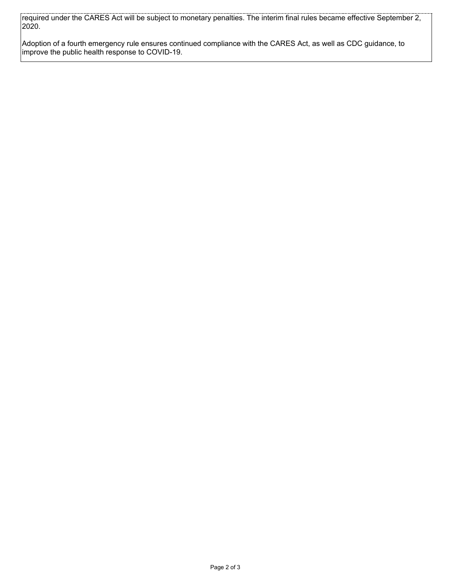required under the CARES Act will be subject to monetary penalties. The interim final rules became effective September 2, 2020.

Adoption of a fourth emergency rule ensures continued compliance with the CARES Act, as well as CDC guidance, to improve the public health response to COVID-19.